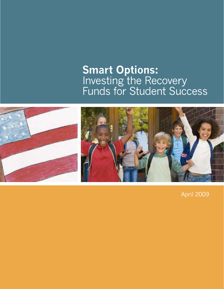# **Smart Options:** Investing the Recovery Funds for Student Success



April 2009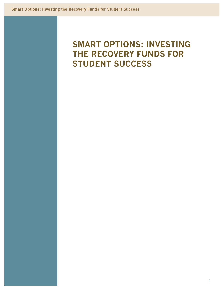# **SMART OPTIONS: INVESTING THE RECOVERY FUNDS FOR STUDENT SUCCESS**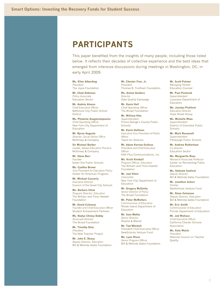# **PARTICIPANTS**

This paper benefited from the insights of many people, including those listed below. It reflects their decades of collective experience and the best ideas that emerged from intensive discussions during meetings in Washington, DC, in early April 2009.

**Ms. Ellen Alberding** *President* The Joyce Foundation

**Mr. Chad Aldeman** *Policy Associate* Education Sector

**Mr. Andrés Alonso** *Chief Executive Officer* Baltimore City Public School **District** 

**Ms. Photeine Anagnostopoulos** *Chief Operating Officer* New York City Department of Education

**Mr. Byron Auguste** *Director, Social Sector Office* McKinsey & Company

**Sir Michael Barber** *Leader, Global Education Practice* McKinsey & Company

**Mr. Steve Barr** *Founder* Green Dot Public Schools

**Ms. Cynthia Brown** *Vice President for Education Policy* Center for American Progress

**Mr. Michael Casserly** *Executive Director* Council of the Great City Schools

**Ms. Barbara Chow** *Program Director, Education* The William and Flora Hewlett Foundation

**Mr. David Coleman** *Founder and Chief Executive Officer* Student Achievement Partners

**Ms. Nadya Chinoy Dabby** *Associate Director* The Broad Foundation

**Mr. Timothy Daly** *President* The New Teacher Project

**Mr. John E. Deasy** *Deputy Director, Education* Bill & Melinda Gates Foundation **Mr. Chester Finn, Jr.** *President* Thomas B. Fordham Foundation

**Ms. Aimee Guidera** *Director* Data Quality Campaign

**Mr. Kevin Hall** *Chief Operating Officer* The Broad Foundation

**Mr. William Hite** *Superintendent* Prince George's County Public **Schools** 

**Mr. Kevin Huffman** *Executive Vice President of Public Affairs* Teach for America

**Mr. Adam Kernan-Schloss** *President and Chief Executive Officer* KSA–Plus Communications, Inc.

**Ms. Kristi Kimball** *Program Officer, Education* The William and Flora Hewlett Foundation

**Mr. Joel Klein** *Chancellor* New York City Department of Education

**Mr. Gregory McGinity** *Senior Director of Policy* The Broad Foundation

**Mr. Peter McWalters** *Commissioner of Education* Rhode Island Department of Education

**Mr. Sam Mehta** *Senior Director* Alvarez & Marsal

**Mr. Ted Mitchell** *President/Chief Executive Officer* NewSchools Venture Fund

**Ms. Lynn Olson** *Senior Program Officer* Bill & Melinda Gates Foundation

**Mr. Scott Palmer** *Managing Partner* Education Counsel

**Mr. Paul Pastorek** *Superintendent* Louisiana Department of Education

**Ms. Jocelyn Pickford** *Education Director* Hope Street Group

**Ms. Michelle Rhee** *Superintendent* District of Columbia Public **Schools** 

**Mr. Mark Roosevelt** *Superintendent* Pittsburgh Public Schools

**Mr. Andrew Rotherham** *Co-director* Education Sector

**Ms. Marguerite Roza** *Research Associate Professor* Center on Reinventing Public Education

**Ms. Stefanie Sanford** *Deputy Director* Bill & Melinda Gates Foundation

**Mr. Jonathan Schorr** *Partner* NewSchools Venture Fund

**Mr. Steve Seleznow** *Deputy Director, Education* Bill & Melinda Gates Foundation

**Mr. Eric Smith** *Commissioner of Education* Florida Department of Education

**Mr. Jed Wallace** *Chief Executive Officer* California Charter Schools Association

**Ms. Kate Walsh** *President* National Council on Teacher Quality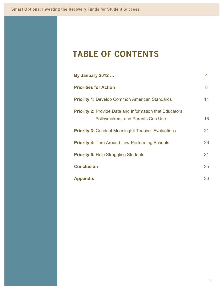# **TABLE OF CONTENTS**

| <b>By January 2012</b>                                                                               | $\overline{4}$ |  |
|------------------------------------------------------------------------------------------------------|----------------|--|
| <b>Priorities for Action</b>                                                                         |                |  |
| <b>Priority 1: Develop Common American Standards</b>                                                 | 11             |  |
| <b>Priority 2: Provide Data and Information that Educators,</b><br>Policymakers, and Parents Can Use | 16             |  |
| <b>Priority 3: Conduct Meaningful Teacher Evaluations</b>                                            | 21             |  |
| <b>Priority 4: Turn Around Low-Performing Schools</b>                                                | 26             |  |
| <b>Priority 5: Help Struggling Students</b>                                                          | 31             |  |
| <b>Conclusion</b>                                                                                    | 35             |  |
| <b>Appendix</b>                                                                                      | 36             |  |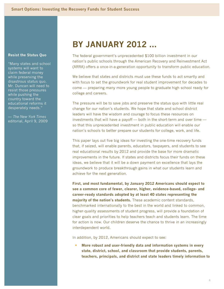## **Resist the Status Quo**

"Many states and school systems will want to claim federal money while preserving the disastrous status quo. Mr. Duncan will need to resist those pressures while pushing the country toward the educational reforms it desperately needs."

— *The New York Times* editorial, April 9, 2009

# **BY JANUARY 2012 ...**

The federal government's unprecedented \$100 billion investment in our nation's public schools through the American Recovery and Reinvestment Act (ARRA) offers a once-in-a-generation opportunity to transform public education.

We believe that states and districts must use these funds to act smartly and with focus to set the groundwork for real student improvement for decades to come — preparing many more young people to graduate high school ready for college and careers.

The pressure will be to save jobs and preserve the status quo with little real change for our nation's students. We hope that state and school district leaders will have the wisdom and courage to focus these resources on investments that will have a payoff — both in the short-term and over time so that this unprecedented investment in public education will enable our nation's schools to better prepare our students for college, work, and life.

This paper lays out five big ideas for investing the one-time recovery funds that, if seized, will enable parents, educators, taxpayers, and students to see real educational results by 2012 and provide the base for more dramatic improvements in the future. If states and districts focus their funds on these ideas, we believe that it will be a down payment on excellence that lays the groundwork to produce breakthrough gains in what our students learn and achieve for the next generation.

**First, and most fundamental, by January 2012 Americans should expect to see a common core of fewer, clearer, higher, evidence-based, college- and career-ready standards adopted by at least 40 states representing the majority of the nation's students.** These academic content standards, benchmarked internationally to the best in the world and linked to common, higher-quality assessments of student progress, will provide a foundation of clear goals and priorities to help teachers teach and students learn. The time for action is now. Our children deserve the chance to thrive in an increasingly interdependent world.

In addition, by 2012, Americans should expect to see:

 **More robust and user-friendly data and information systems in every state, district, school, and classroom that provide students, parents, teachers, principals, and district and state leaders timely information to**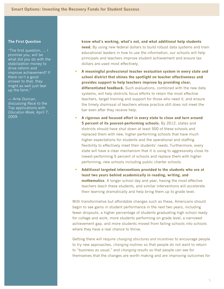### **The First Question**

"The first question, ... I promise you, will be what did you do with the stabilization money to drive reform and improve achievement? If there isn't a good answer to that, they might as well just tear up the form."

— Arne Duncan, discussing Race to the Top applications with *Education Week,* April 7, 2009

**know what's working, what's not, and what additional help students need.** By using new federal dollars to build robust data systems and train educational leaders in how to use the information, our schools will help principals and teachers improve student achievement and ensure tax dollars are used most effectively.

- **A meaningful professional teacher evaluation system in every state and school district that shines the spotlight on teacher effectiveness and provides support to help teachers improve by providing clear, differentiated feedback.** Such evaluations, combined with the new data systems, will help districts focus efforts to retain the most effective teachers, target training and support for those who need it, and ensure the timely dismissal of teachers whose practice still does not meet the bar even after they receive help.
- **A rigorous and focused effort in every state to close and turn around 5 percent of its poorest-performing schools.** By 2012, states and districts should have shut down at least 500 of these schools and replaced them with new, higher-performing schools that have much higher expectations for students and the operational and staffing flexibility to effectively meet their students' needs. Furthermore, every state will have a clear mechanism that it is using to aggressively close its lowest-performing 5 percent of schools and replace them with higherperforming, new schools including public charter schools.
- **Additional targeted interventions provided to the students who are at least two years behind academically in reading, writing, and mathematics**. A longer school day and year, having the most effective teachers teach these students, and similar interventions will accelerate their learning dramatically and help bring them up to grade level.

With transformative but affordable changes such as these, Americans should begin to see gains in student performance in the next two years, including fewer dropouts, a higher percentage of students graduating high school ready for college and work, more students performing on grade level, a narrowed achievement gap, and more students moved from failing schools into schools where they have a real chance to thrive.

Getting there will require *changing structures and incentives* to encourage people to try new approaches, *changing routines* so that people do not want to return to "business as usual," and *changing results* so that people can see for themselves that the changes are worth making and are improving outcomes for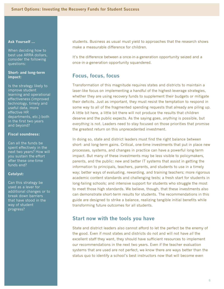### **Ask Yourself ...**

When deciding how to best use ARRA dollars, consider the following questions:

## **Short- and long-term impact:**

Is the strategy likely to improve student learning and operational effectiveness (improved technology, timely and useful data, more effective HR departments, etc.) both in the first two years and beyond?

## **Fiscal soundness:**

Can all the funds be spent effectively in the next two years? How will you sustain the effort after these one-time funds end?

### **Catalyst:**

Can this strategy be used as a lever for additional changes or to break down barriers that have stood in the way of student progress?

students. Business as usual must yield to approaches that the research shows make a measurable difference for children.

It's the difference between a once-in-a-generation opportunity seized and a once-in-a-generation opportunity squandered.

# **Focus, focus, focus**

Transformation of this magnitude requires states and districts to maintain a laser-like focus on implementing a handful of the highest-leverage strategies, whether they are using recovery funds to supplement their budgets or mitigate their deficits. Just as important, they must resist the temptation to respond in some way to all of the fragmented spending requests that already are piling up. A little bit here, a little bit there will not produce the results that children deserve and the public expects. As the saying goes, *anything* is possible, but *everything* is not. Leaders need to stay focused on those priorities that promise the greatest return on this unprecedented investment.

In doing so, state and district leaders must find the right balance between short- and long-term gains. Critical, one-time investments that put in place new processes, systems, and changes in practice can have a powerful long-term impact. But many of these investments may be less visible to policymakers, parents, and the public: new and better IT systems that assist in getting the information to principals, teachers, parents, and students to use in a timely way; better ways of evaluating, rewarding, and training teachers; more rigorous academic content standards and challenging tests; a fresh start for students in long-failing schools; and intensive support for students who struggle the most to meet those high standards. We believe, though, that these investments also can demonstrate short-term results for students. The recommendations in this guide are designed to strike a balance, realizing tangible initial benefits while transforming future outcomes for all students.

## **Start now with the tools you have**

State and district leaders also cannot afford to let the perfect be the enemy of the good. Even if most states and districts do not and will not have *all* the excellent staff they want, they should have sufficient resources to implement our recommendations in the next two years. Even if the teacher evaluation systems that are used are not perfect, we know there are ways better than the status quo to identify a school's best instructors now that will become even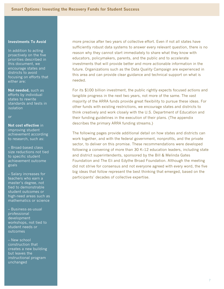## **Investments To Avoid**

In addition to acting proactively on the five priorities described in this document, we encourage states and districts to avoid focusing on efforts that either are:

**Not needed,** such as efforts by individual states to rewrite standards and tests in isolation

or

**Not cost effective** in improving student achievement according to research, such as:

– Broad-based class size reductions not tied to specific student achievement outcome goals

– Salary increases for teachers who earn a master's degree, not tied to demonstrable student outcomes or high-need areas such as mathematics or science

– Business-as-usual professional development workshops, not tied to student needs or outcomes

– New school construction that creates a new building but leaves the instructional program unchanged

more precise after two years of collective effort. Even if not all states have sufficiently robust data systems to answer every relevant question, there is no reason why they cannot start immediately to share what they know with educators, policymakers, parents, and the public and to accelerate investments that will provide better and more actionable information in the future. Organizations such as the Data Quality Campaign are experienced in this area and can provide clear guidance and technical support on what is needed.

For its \$100 billion investment, the public rightly expects focused actions and tangible progress in the next two years, not more of the same. The vast majority of the ARRA funds provide great flexibility to pursue these ideas. For other funds with existing restrictions, we encourage states and districts to think creatively and work closely with the U.S. Department of Education and their funding guidelines in the execution of their plans. (The appendix describes the primary ARRA funding streams.)

The following pages provide additional detail on how states and districts can work together, and with the federal government, nonprofits, and the private sector, to deliver on this promise. These recommendations were developed following a convening of more than 30 K–12 education leaders, including state and district superintendents, sponsored by the Bill & Melinda Gates Foundation and The Eli and Edythe Broad Foundation. Although the meeting did not strive for consensus and not everyone agreed with every word, the five big ideas that follow represent the best thinking that emerged, based on the participants' decades of collective expertise.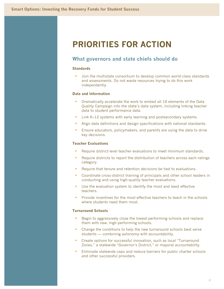# **PRIORITIES FOR ACTION**

## **What governors and state chiefs should do**

## **Standards**

 Join the multistate consortium to develop common world-class standards and assessments. Do not waste resources trying to do this work independently.

## **Data and Information**

- Dramatically accelerate the work to embed all 10 elements of the Data Quality Campaign into the state's data system, including linking teacher data to student performance data.
- Link K–12 systems with early learning and postsecondary systems.
- Align data definitions and design specifications with national standards.
- **Ensure educators, policymakers, and parents are using the data to drive** key decisions.

## **Teacher Evaluations**

- Require district-level teacher evaluations to meet minimum standards.
- **Require districts to report the distribution of teachers across each ratings** category.
- Require that tenure and retention decisions be tied to evaluations.
- Coordinate cross-district training of principals and other school leaders in conducting and using high-quality teacher evaluations.
- Use the evaluation system to identify the most and least effective teachers.
- Provide incentives for the most effective teachers to teach in the schools where students need them most.

### **Turnaround Schools**

- Begin to aggressively close the lowest-performing schools and replace them with new, high-performing schools.
- Change the conditions to help the new turnaround schools best serve students — combining autonomy with accountability.
- **Create options for successful innovation, such as local "Turnaround"** Zones," a statewide "Governor's District," or mayoral accountability.
- Eliminate statewide caps and reduce barriers for public charter schools and other successful providers.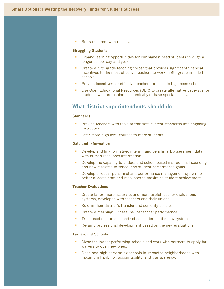Be transparent with results.

### **Struggling Students**

- Expand learning opportunities for our highest-need students through a longer school day and year.
- Create a "9th grade teaching corps" that provides significant financial incentives to the most effective teachers to work in 9th grade in Title I schools.
- Provide incentives for effective teachers to teach in high-need schools.
- Use Open Educational Resources (OER) to create alternative pathways for students who are behind academically or have special needs.

## **What district superintendents should do**

#### **Standards**

- Provide teachers with tools to translate current standards into engaging instruction.
- **Offer more high-level courses to more students.**

### **Data and Information**

- **Develop and link formative, interim, and benchmark assessment data** with human resources information.
- **Develop the capacity to understand school-based instructional spending** and how it relates to school and student performance gains.
- **Develop a robust personnel and performance management system to** better allocate staff and resources to maximize student achievement.

## **Teacher Evaluations**

- **Create fairer, more accurate, and more useful teacher evaluations** systems, developed with teachers and their unions.
- Reform their district's transfer and seniority policies.
- **Create a meaningful "baseline" of teacher performance.**
- **Train teachers, unions, and school leaders in the new system.**
- Revamp professional development based on the new evaluations.

#### **Turnaround Schools**

- Close the lowest-performing schools and work with partners to apply for waivers to open new ones.
- Open new high-performing schools in impacted neighborhoods with maximum flexibility, accountability, and transparency.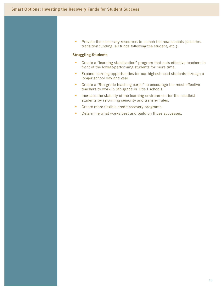**Provide the necessary resources to launch the new schools (facilities,** transition funding, all funds following the student, etc.).

## **Struggling Students**

- Create a "learning stabilization" program that puts effective teachers in front of the lowest-performing students for more time.
- **Expand learning opportunities for our highest-need students through a** longer school day and year.
- **EXP** Create a "9th grade teaching corps" to encourage the most effective teachers to work in 9th grade in Title I schools.
- **If** Increase the stability of the learning environment for the neediest students by reforming seniority and transfer rules.
- **Create more flexible credit-recovery programs.**
- Determine what works best and build on those successes.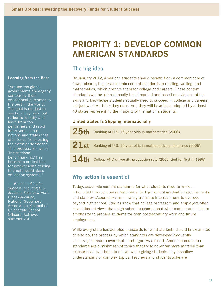### **Learning from the Best**

"Around the globe, governments are eagerly comparing their educational outcomes to the best in the world. The goal is not just to see how they rank, but rather to identify and learn from top performers and rapid improvers — from nations and states that offer ideas for boosting their own performance. This process, known as 'international benchmarking,' has become a critical tool for governments striving to create world-class education systems."

— *Benchmarking for Success: Ensuring U.S. Students Receive a World-Class Education,* National Governors Association, Council of Chief State School Officers, Achieve, summer 2009

# **PRIORITY 1: DEVELOP COMMON AMERICAN STANDARDS**

# **The big idea**

By January 2012, American students should benefit from a common core of fewer, clearer, higher academic content standards in reading, writing, and mathematics, which prepare them for college and careers. These content standards will be internationally benchmarked and based on evidence of the skills and knowledge students actually need to succeed in college and careers, not just what we think they need. And they will have been adopted by at least 40 states representing the majority of the nation's students.

## **United States Is Slipping Internationally**

25th Ranking of U.S. 15-year-olds in mathematics (2006) 21st Ranking of U.S. 15-year-olds in mathematics and science (2006) 14th College AND university graduation rate (2006; tied for first in 1995)

# **Why action is essential**

Today, academic content standards for what students need to know articulated through course requirements, high school graduation requirements, and state exit/course exams — rarely translate into readiness to succeed beyond high school. Studies show that college professors and employers often have different views than high school teachers about what content and skills to emphasize to prepare students for both postsecondary work and future employment.

While every state has adopted standards for what students should know and be able to do, the process by which standards are developed frequently encourages breadth over depth and rigor. As a result, American education standards are a mishmash of topics that try to cover far more material than teachers can ever hope to deliver while giving students only a shallow understanding of complex topics. Teachers and students alike are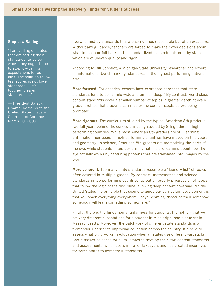## **Stop Low-Balling**

"I am calling on states that are setting their standards far below where they ought to be to stop low-balling expectations for our kids. The solution to low test scores is not lower standards — it's tougher, clearer standards. …"

— President Barack Obama, Remarks to the United States Hispanic Chamber of Commerce, March 10, 2009

overwhelmed by standards that are sometimes reasonable but often excessive. Without any guidance, teachers are forced to make their own decisions about what to teach or fall back on the standardized tests administered by states, which are of uneven quality and rigor.

According to Bill Schmidt, a Michigan State University researcher and expert on international benchmarking, standards in the highest-performing nations are:

**More focused.** For decades, experts have expressed concerns that state standards tend to be "a mile wide and an inch deep." By contrast, world-class content standards cover a smaller number of topics in greater depth at every grade level, so that students can master the core concepts before being promoted.

**More rigorous.** The curriculum studied by the typical American 8th grader is two full years behind the curriculum being studied by 8th graders in highperforming countries. While most American 8th graders are still learning arithmetic, their peers in high-performing countries have moved on to algebra and geometry. In science, American 8th graders are memorizing the parts of the eye, while students in top-performing nations are learning about how the eye actually works by capturing photons that are translated into images by the brain.

**More coherent.** Too many state standards resemble a "laundry list" of topics often covered in multiple grades. By contrast, mathematics and science standards in top-performing countries lay out an orderly progression of topics that follow the logic of the discipline, allowing deep content coverage. "In the United States the principle that seems to guide our curriculum development is that you teach everything everywhere," says Schmidt, "because then somehow somebody will learn something somewhere."

Finally, there is the fundamental unfairness for students. It's not fair that we set very different expectations for a student in Mississippi and a student in Massachusetts. Moreover, the patchwork of different state standards is a tremendous barrier to improving education across the country. It's hard to assess what truly works in education when all states use different yardsticks. And it makes no sense for all 50 states to develop their own content standards and assessments, which costs more for taxpayers and has created incentives for some states to lower their standards.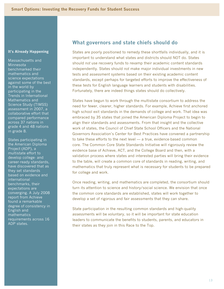Massachusetts and **Minnesota** benchmarked their mathematics and science expectations against some of the best in the world by participating in the Trends in International Mathematics and Science Study (TIMSS) assessment in 2007, a collaborative effort that compared performance across 37 nations in grade 4 and 48 nations in grade 8.

States participating in the American Diploma Project (ADP), a multistate effort to develop college- and career-ready standards, have discovered that as they set standards based on evidence and international benchmarks, their expectations are converging. A July 2008 report from Achieve found a remarkable degree of consistency in English and mathematics requirements across 16 ADP states.

## **What governors and state chiefs should do**

States are poorly positioned to remedy these shortfalls individually, and it is important to understand what states and districts should NOT do. States should *not* use recovery funds to revamp their academic content standards independently. States should *not* make major individual investments in new tests and assessment systems based on their existing academic content standards, except perhaps for targeted efforts to improve the effectiveness of these tests for English language learners and students with disabilities. Fortunately, there are indeed things states should do collectively.

States have begun to work through the multistate consortium to address the need for fewer, clearer, higher standards. For example, Achieve first anchored high school exit standards in the demands of college and work. That idea was embraced by 35 states that joined the American Diploma Project to begin to align their standards and assessments. From that insight and the collective work of states, the Council of Chief State School Officers and the National Governors Association's Center for Best Practices have convened a partnership to take these efforts to the next level — a true, evidence-based common core. The Common Core State Standards Initiative will rigorously review the evidence base of Achieve, ACT, and the College Board and then, with a validation process where states and interested parties will bring their evidence to the table, will create a common core of standards in reading, writing, and mathematics that truly represent what is necessary for students to be prepared for college and work.

Once reading, writing, and mathematics are completed, the consortium should turn its attention to science and history/social science. We envision that once the common core standards are established, states will work together to develop a set of rigorous and fair assessments that they can share.

State participation in the resulting common standards and high-quality assessments will be voluntary, so it will be important for state education leaders to communicate the benefits to students, parents, and educators in their states as they join in this Race to the Top.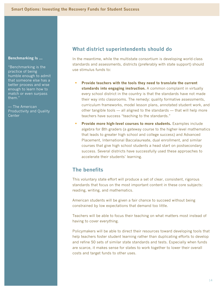## **Benchmarking Is ...**

"Benchmarking is the practice of being humble enough to admit that someone else has a better process and wise enough to learn how to match or even surpass them."

— The American Productivity and Quality Center

# **What district superintendents should do**

In the meantime, while the multistate consortium is developing world-class standards and assessments, districts (preferably with state support) should use stimulus funds to:

- **Provide teachers with the tools they need to translate the current standards into engaging instruction.** A common complaint in virtually every school district in the country is that the standards have not made their way into classrooms. The remedy: quality formative assessments, curriculum frameworks, model lesson plans, annotated student work, and other tangible tools — all aligned to the standards — that will help more teachers have success "teaching to the standards."
- **Provide more high-level courses to more students.** Examples include algebra for 8th graders (a gateway course to the higher-level mathematics that leads to greater high school and college success) and Advanced Placement, International Baccalaureate, dual enrollment, and similar courses that give high school students a head start on postsecondary success. Several districts have successfully used these approaches to accelerate their students' learning.

# **The benefits**

This voluntary state effort will produce a set of clear, consistent, rigorous standards that focus on the most important content in these core subjects: reading, writing, and mathematics.

American students will be given a fair chance to succeed without being constrained by low expectations that demand too little.

Teachers will be able to focus their teaching on what matters most instead of having to cover everything.

Policymakers will be able to direct their resources toward developing tools that help teachers foster student learning rather than duplicating efforts to develop and refine 50 sets of similar state standards and tests. Especially when funds are scarce, it makes sense for states to work together to lower their overall costs and target funds to other uses.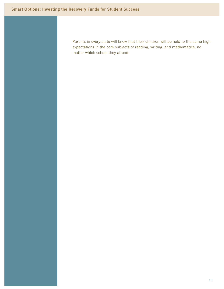Parents in every state will know that their children will be held to the same high expectations in the core subjects of reading, writing, and mathematics, no matter which school they attend.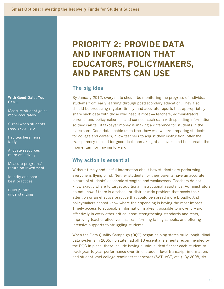**With Good Data, You Can ...**

Measure student gains more accurately

Signal when students need extra help

Pay teachers more fairly

Allocate resources more effectively

Measure programs' return on investment

Identify and share best practices

Build public understanding

# **PRIORITY 2: PROVIDE DATA AND INFORMATION THAT EDUCATORS, POLICYMAKERS, AND PARENTS CAN USE**

# **The big idea**

By January 2012, every state should be monitoring the progress of individual students from early learning through postsecondary education. They also should be producing regular, timely, and accurate reports that appropriately share such data with those who need it most — teachers, administrators, parents, and policymakers — and connect such data with spending information so they can tell if taxpayer money is making a difference for students in the classroom. Good data enable us to track how well we are preparing students for college and careers, allow teachers to adjust their instruction, offer the transparency needed for good decisionmaking at all levels, and help create the momentum for moving forward.

# **Why action is essential**

Without timely and useful information about how students are performing, everyone is flying blind. Neither students nor their parents have an accurate picture of students' academic strengths and weaknesses. Teachers do not know exactly where to target additional instructional assistance. Administrators do not know if there is a school- or district-wide problem that needs their attention or an effective practice that could be spread more broadly. And policymakers cannot know where their spending is having the most impact. Timely access to actionable information makes it possible to move forward effectively in every other critical area: strengthening standards and tests, improving teacher effectiveness, transforming failing schools, and offering intensive supports to struggling students.

When the Data Quality Campaign (DQC) began helping states build longitudinal data systems in 2005, no state had all 10 essential elements recommended by the DQC in place; these include having a unique identifier for each student to track year-to-year performance over time, student-level transcript information, and student-level college-readiness test scores (SAT, ACT, etc.). By 2008, six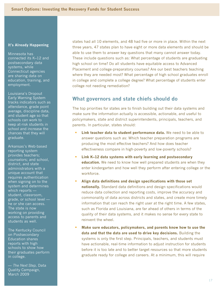Minnesota has connected its K–12 and postsecondary data systems, while Connecticut agencies are sharing data on education, training, and employment.

Louisiana's Dropout Early Warning System tracks indicators such as attendance, grade point average, discipline data, and student age so that schools can work to keep at-risk students in school and increase the chances that they will graduate.

Arkansas's Web-based reporting system provides teachers; counselors; and school, district, and state administrators with a unique account that requires authentication when signing on to the system and determines which reports student, classroom, grade, or school level he or she can access. The state is now working on providing access to parents and students as well.

The Kentucky Council on Postsecondary Education shares reports with high schools to show how their graduates perform in college.

— *The Next Step,* Data Quality Campaign, March 2009

states had all 10 elements, and 48 had five or more in place. Within the next three years, 47 states plan to have eight or more data elements and should be able to use them to answer key questions that many cannot answer today. These include questions such as: What percentage of students are graduating high school on time? Do all students have equitable access to Advanced Placement and college-preparatory courses? Are our best teachers teaching where they are needed most? What percentage of high school graduates enroll in college and complete a college degree? What percentage of students enter college not needing remediation?

# **What governors and state chiefs should do**

The top priorities for states are to finish building out their data systems and make sure the information actually is accessible, actionable, and useful to policymakers, state and district superintendents, principals, teachers, and parents. In particular, states should:

- **Link teacher data to student performance data.** We need to be able to answer questions such as: Which teacher preparation programs are producing the most effective teachers? And how does teacher effectiveness compare in high-poverty and low-poverty schools?
- **Link K–12 data systems with early learning and postsecondary education.** We need to know how well prepared students are when they enter kindergarten and how well they perform after entering college or the workforce.
- **Align data definitions and design specifications with those set nationally.** Standard data definitions and design specifications would reduce data collection and reporting costs, improve the accuracy and commonality of data across districts and states, and create more timely information that can reach the right user at the right time. A few states, such as Florida and Louisiana, are far ahead of others in terms of the quality of their data systems, and it makes no sense for every state to reinvent the wheel.
- **Make sure educators, policymakers, and parents know how to use the data and that the data are used to drive key decisions.** Building the systems is only the first step. Principals, teachers, and students must have actionable, real-time information to adjust instruction for students before it is too late and to better target resources so that more students graduate ready for college and careers. At a minimum, this will require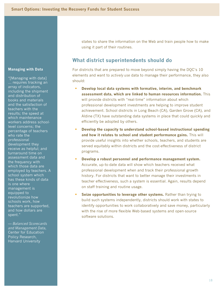## **Managing with Data**

"[Managing with data] ... requires tracking an array of indicators, including the shipment and distribution of books and materials and the satisfaction of teachers with the results; the speed at which maintenance workers address schoollevel concerns; the percentage of teachers who rate the professional development they receive as helpful; and turnaround time on assessment data and the frequency with which those data are employed by teachers. A school system which has these kinds of data is one where management is equipped to revolutionize how schools work, how teachers are supported, and how dollars are spent."

*— Balanced Scorecards and Management Data,* Center for Education Policy Research, Harvard University

states to share the information on the Web and train people how to make using it part of their routines.

# **What district superintendents should do**

For districts that are prepared to move beyond simply having the DQC's 10 elements and want to *actively use* data to manage their performance, they also should:

- **Develop local data systems with formative, interim, and benchmark assessment data, which are linked to human resources information.** This will provide districts with "real-time" information about which professional development investments are helping to improve student achievement. School districts in Long Beach (CA), Garden Grove (CA), and Aldine (TX) have outstanding data systems in place that could quickly and efficiently be adopted by others.
- **Develop the capacity to understand school-based instructional spending and how it relates to school and student performance gains.** This will provide useful insights into whether schools, teachers, and students are served equitably within districts and the cost-effectiveness of district programs.
- **Develop a robust personnel and performance management system.** Accurate, up-to-date data will show which teachers received what professional development when and track their professional growth history. For districts that want to better manage their investments in teacher effectiveness, such a system is essential. Again, results depend on staff training and routine usage.
- **Seize opportunities to leverage other systems.** Rather than trying to build such systems independently, districts should work with states to identify opportunities to work collaboratively and save money, particularly with the rise of more flexible Web-based systems and open-source software solutions.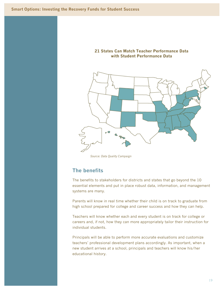



*Source: Data Quality Campaign*

# **The benefits**

The benefits to stakeholders for districts and states that go beyond the 10 essential elements and put in place robust data, information, and management systems are many.

Parents will know in real time whether their child is on track to graduate from high school prepared for college and career success and how they can help.

Teachers will know whether each and every student is on track for college or careers and, if not, how they can more appropriately tailor their instruction for individual students.

Principals will be able to perform more accurate evaluations and customize teachers' professional development plans accordingly. As important, when a new student arrives at a school, principals and teachers will know his/her educational history.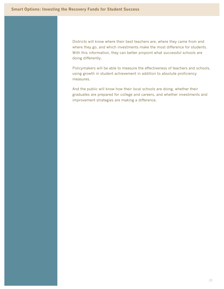Districts will know where their best teachers are, where they came from and where they go, and which investments make the most difference for students. With this information, they can better pinpoint what successful schools are doing differently.

Policymakers will be able to measure the effectiveness of teachers and schools, using growth in student achievement in addition to absolute proficiency measures.

And the public will know how their local schools are doing, whether their graduates are prepared for college and careers, and whether investments and improvement strategies are making a difference.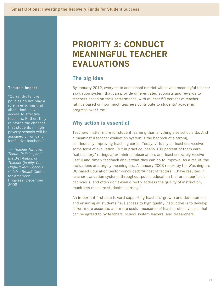### **Tenure's Impact**

"Currently, tenure policies do not play a role in ensuring that all students have access to effective teachers. Rather, they reinforce the chances that students in highpoverty schools will be assigned chronically ineffective teachers."

— *Teacher Turnover, Tenure Policies, and the Distribution of Teacher Quality: Can High-Poverty Schools Catch a Break?* Center for American Progress, December 2008

# **PRIORITY 3: CONDUCT MEANINGFUL TEACHER EVALUATIONS**

# **The big idea**

By January 2012, every state and school district will have a meaningful teacher evaluation system that can provide differentiated supports and rewards to teachers based on their performance, with at least 50 percent of teacher ratings based on how much teachers contribute to students' academic progress over time.

# **Why action is essential**

Teachers matter more for student learning than anything else schools do. And a meaningful teacher evaluation system is the bedrock of a strong, continuously improving teaching corps. Today, virtually all teachers receive some form of evaluation. But in practice, nearly 100 percent of them earn "satisfactory" ratings after minimal observation, and teachers rarely receive useful and timely feedback about what they can do to improve. As a result, the evaluations are largely meaningless. A January 2008 report by the Washington, DC-based Education Sector concluded: "A host of factors … have resulted in teacher evaluation systems throughout public education that are superficial, capricious, and often don't even directly address the quality of instruction, much less measure students' learning."

An important first step toward supporting teachers' growth and development and ensuring all students have access to high-quality instruction is to develop fairer, more accurate, and more useful measures of teacher effectiveness that can be agreed to by teachers, school system leaders, and researchers.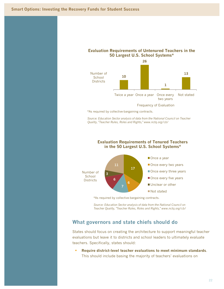



\*As required by collective-bargaining contracts.

*Source: Education Sector analysis of data from the National Council on Teacher Quality, "Teacher Rules, Roles and Rights," www.nctq.org/cb/* 

## **Evaluation Requirements of Tenured Teachers in the 50 Largest U.S. School Systems\***



\*As required by collective-bargaining contracts.

*Source: Education Sector analysis of data from the National Council on Teacher Quality, "Teacher Rules, Roles and Rights," www.nctq.org/cb/* 

## **What governors and state chiefs should do**

States should focus on creating the architecture to support meaningful teacher evaluations but leave it to districts and school leaders to ultimately evaluate teachers. Specifically, states should:

 **Require district-level teacher evaluations to meet minimum standards**. This should include basing the majority of teachers' evaluations on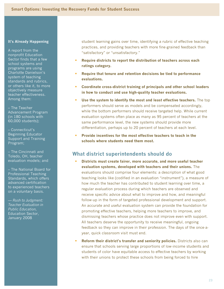A report from the nonprofit Education Sector finds that a few school systems and programs are using Charlotte Danielson's system of teaching standards and rubrics, or others like it, to more objectively measure teacher effectiveness. Among them:

– The Teacher Advancement Program (in 180 schools with 60,000 students);

– Connecticut's Beginning Educator **Support and Training** Program;

– The Cincinnati and Toledo, OH, teacher evaluation models; and

– The National Board for Professional Teaching Standards, which offers advanced certification to experienced teachers on a voluntary basis.

*— Rush to Judgment: Teacher Evaluation in Public Education,* Education Sector, January 2008

student learning gains over time, identifying a rubric of effective teaching practices, and providing teachers with more fine-grained feedback than "satisfactory" or "unsatisfactory."

- **Require districts to report the distribution of teachers across each ratings category.**
- **Require that tenure and retention decisions be tied to performance evaluations.**
- **Coordinate cross-district training of principals and other school leaders in how to conduct and use high-quality teacher evaluations.**
- **Use the system to identify the most and least effective teachers.** The top performers should serve as models and be compensated accordingly, while the bottom performers should receive targeted help. While current evaluation systems often place as many as 95 percent of teachers at the same performance level, the new systems should provide more differentiation, perhaps up to 20 percent of teachers at each level.
- **Provide incentives for the most effective teachers to teach in the schools where students need them most.**

# **What district superintendents should do**

- **Districts must create fairer, more accurate, and more useful teacher evaluation systems, developed with teachers and their unions.** The evaluations should comprise four elements: a description of what good teaching looks like (codified in an evaluation "instrument"), a measure of how much the teacher has contributed to student learning over time, a regular evaluation process during which teachers are observed and receive specific advice about what to improve and how, and meaningful follow-up in the form of targeted professional development and support. An accurate and useful evaluation system can provide the foundation for promoting effective teachers, helping more teachers to improve, and dismissing teachers whose practice does not improve even with support. All teachers deserve the opportunity to receive meaningful, ongoing feedback so they can improve in their profession. The days of the once-ayear, quick classroom visit must end.
- **Reform their district's transfer and seniority policies.** Districts also can ensure that schools serving large proportions of low-income students and students of color have equitable access to effective teachers by working with their unions to protect these schools from being forced to hire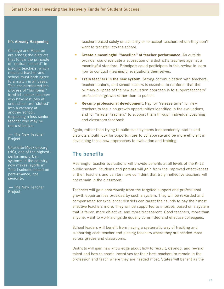Chicago and Houston are among the districts that follow the principle of "mutual consent" in placing teachers, which means a teacher and school must both agree to a match in all cases. This has eliminated the process of "bumping," in which senior teachers who have lost jobs at one school are "slotted" into a vacancy at another school, displacing a less senior teacher who may be more effective.

## — The New Teacher Project

Charlotte-Mecklenburg (NC), one of the highestperforming urban systems in the country, now makes layoffs in Title I schools based on performance, not seniority.

— The New Teacher Project

teachers based solely on seniority or to accept teachers whom they don't want to transfer into the school.

- **Create a meaningful "baseline" of teacher performance.** An outside provider could evaluate a subsection of a district's teachers against a meaningful standard. Principals could participate in this review to learn how to conduct meaningful evaluations themselves.
- **Train teachers in the new system.** Strong communication with teachers, teachers unions, and school leaders is essential to reinforce that the primary purpose of the new evaluation approach is to support teachers' professional growth rather than to punish.
- **Revamp professional development.** Pay for "release time" for new teachers to focus on growth opportunities identified in the evaluations, and for "master teachers" to support them through individual coaching and classroom feedback.

Again, rather than trying to build such systems independently, states and districts should look for opportunities to collaborate and be more efficient in developing these new approaches to evaluation and training.

# **The benefits**

Meaningful teacher evaluations will provide benefits at all levels of the K–12 public system. Students and parents will gain from the improved effectiveness of their teachers and can be more confident that truly ineffective teachers will not remain in the classroom.

Teachers will gain enormously from the targeted support and professional growth opportunities provided by such a system. They will be rewarded and compensated for excellence; districts can target their funds to pay their most effective teachers more. They will be supported to improve, based on a system that is fairer, more objective, and more transparent. Good teachers, more than anyone, want to work alongside equally committed and effective colleagues.

School leaders will benefit from having a systematic way of tracking and supporting each teacher and placing teachers where they are needed most across grades and classrooms.

Districts will gain new knowledge about how to recruit, develop, and reward talent and how to create incentives for their best teachers to remain in the profession and teach where they are needed most. States will benefit as the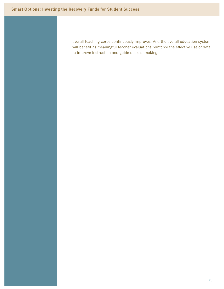overall teaching corps continuously improves. And the overall education system will benefit as meaningful teacher evaluations reinforce the effective use of data to improve instruction and guide decisionmaking.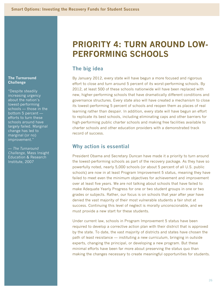## **The Turnaround Challenge**

"Despite steadily increasing urgency about the nation's lowest-performing schools — those in the bottom 5 percent efforts to turn these schools around have largely failed. Marginal change has led to marginal (or no) improvement."

— *The Turnaround Challenge,* Mass Insight Education & Research Institute, 2007

# **PRIORITY 4: TURN AROUND LOW-PERFORMING SCHOOLS**

# **The big idea**

By January 2012, every state will have begun a more focused and rigorous effort to close and turn around 5 percent of its worst-performing schools. By 2012, at least 500 of these schools nationwide will have been replaced with new, higher-performing schools that have dramatically different conditions and governance structures. Every state also will have created a mechanism to close its lowest-performing 5 percent of schools and reopen them as places of real learning rather than despair. In addition, every state will have begun an effort to replicate its best schools, including eliminating caps and other barriers for high-performing public charter schools and making free facilities available to charter schools and other education providers with a demonstrated track record of success.

# **Why action is essential**

President Obama and Secretary Duncan have made it a priority to turn around the lowest-performing schools as part of the recovery package. As they have so powerfully noted, nearly 5,000 schools (or about 5 percent of all U.S. public schools) are now in at least Program Improvement 5 status, meaning they have failed to meet even the minimum objectives for achievement and improvement over at least five years. We are not talking about schools that have failed to make Adequate Yearly Progress for one or two student groups in one or two grades or subjects. Rather, our focus is on schools that year after year have denied the vast majority of their most vulnerable students a fair shot at success. Continuing this level of neglect is morally unconscionable, and we must provide a new start for these students.

Under current law, schools in Program Improvement 5 status have been required to develop a corrective action plan with their district that is approved by the state. To date, the vast majority of districts and states have chosen the path of least resistance — instituting a new curriculum, bringing in outside experts, changing the principal, or developing a new program. But these minimal efforts have been far more about preserving the status quo than making the changes necessary to create meaningful opportunities for students.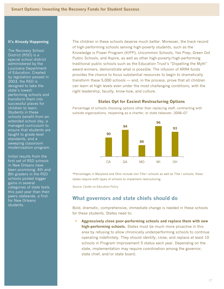The Recovery School District (RSD) is a special school district administered by the Louisiana Department of Education. Created by legislation passed in 2003, the RSD is designed to take the state's lowestperforming schools and transform them into successful places for children to learn. Students in these schools benefit from an extended school day, a managed curriculum to ensure that students are taught to grade-level standards, and a sweeping classroom modernization program.

Initial results from the first set of RSD schools in New Orleans have been promising: 4th and 8th graders in the RSD schools posted bigger gains in several categories of state tests this past year than their peers statewide, a first for New Orleans students.

The children in these schools deserve much better. Moreover, the track record of high-performing schools serving high-poverty students, such as the Knowledge is Power Program (KIPP), Uncommon Schools, Yes Prep, Green Dot Public Schools, and Aspire, as well as other high-poverty/high-performing traditional public schools such as the Education Trust's "Dispelling the Myth" award-winners, demonstrate what is possible. The infusion of ARRA funds provides the chance to focus substantial resources to begin to dramatically transform these 5,000 schools — and, in the process, prove that all children can learn at high levels even under the most challenging conditions, with the right leadership, faculty, know-how, and culture.

## **States Opt for Easiest Restructuring Options**

Percentage of schools choosing options other than replacing staff, contracting with outside organizations, reopening as a charter, or state takeover, 2006–07



\*Percentages in Maryland and Ohio include non-Title I schools as well as Title I schools; these states require both types of schools to implement restructuring.

*Source: Center on Education Policy*

# **What governors and state chiefs should do**

Bold, dramatic, comprehensive, immediate change is needed in these schools for these students. States need to:

 **Aggressively close poor-performing schools and replace them with new high-performing schools.** States must be much more proactive in this area by refusing to allow chronically underperforming schools to continue operating indefinitely. They should identify, close, and replace at least 10 schools in Program Improvement 5 status each year. Depending on the state, implementation may require coordination among the governor, state chief, and/or state board.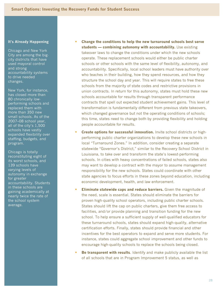Chicago and New York City are among the bigcity districts that have used mayoral control and strong accountability systems to drive needed changes.

New York, for instance, has closed more than 80 chronically lowperforming schools and replaced them with more than 350 new small schools. As of the 2007–08 school year, all of the city's 1,500 schools have vastly expanded flexibility over staffing, budgets, and program.

Chicago is totally reconstituting eight of its worst schools, and 139 schools have varying levels of autonomy in exchange for greater accountability. Students in these schools are gaining academically at nearly twice the rate of the school system average.

- **Change the conditions to help the new turnaround schools best serve students — combining autonomy with accountability.** Use existing takeover laws to change the conditions under which the new schools operate. These replacement schools would either be public charter schools or other schools with the same level of flexibility, autonomy, and accountability. Specifically, local school leaders must have authority over who teaches in their building, how they spend resources, and how they structure the school day and year. This will require states to free these schools from the majority of state codes and restrictive provisions in union contracts. In return for this autonomy, states must hold these new schools accountable for results through transparent performance contracts that spell out expected student achievement gains. This level of transformation is fundamentally different from previous state takeovers, which changed governance but not the operating conditions of schools; this time, states need to change both by providing flexibility and holding people accountable for results.
- **Create options for successful innovation.** Invite school districts or highperforming public charter organizations to develop these new schools in local "Turnaround Zones." In addition, consider creating a separate statewide "Governor's District," similar to the Recovery School District in Louisiana, to take over and transform the state's lowest-performing schools. In cities with heavy concentrations of failed schools, states also may want to develop a contract with the mayor to assume management responsibility for the new schools. States could coordinate with other state agencies to focus efforts in these zones beyond education, including economic development, health, and law enforcement.
- **Eliminate statewide caps and reduce barriers.** Given the magnitude of the need, scale is essential. States should eliminate the barriers for proven high-quality school operators, including public charter schools. States should lift the cap on public charters, give them free access to facilities, and/or provide planning and transition funding for the new school. To help ensure a sufficient supply of well-qualified educators for these turnaround schools, states should expand high-quality, alternative certification efforts. Finally, states should provide financial and other incentives for the best operators to expand and serve more students. For instance, states could aggregate school improvement and other funds to encourage high-quality schools to replace the schools being closed.
- **Be transparent with results**. Identify and make publicly available the list of all schools that are in Program Improvement 5 status, as well as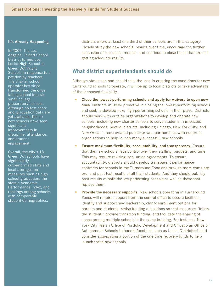In 2007, the Los Angeles Unified School District turned over Locke High School to Green Dot Public Schools in response to a petition by teachers. The charter school operator has since transformed the oncefailing school into six small college preparatory schools. Although no test score and graduation data are yet available, the six new schools have seen significant improvements in discipline, attendance, and student engagement.

Overall, the city's 18 Green Dot schools have significantly outperformed state and local averages on measures such as high school graduation, the state's Academic Performance Index, and rankings among schools with comparable student demographics.

districts where at least one-third of their schools are in this category. Closely study the new schools' results over time, encourage the further expansion of successful models, and continue to close those that are not getting adequate results.

# **What district superintendents should do**

Although states can and should take the lead in creating the conditions for new turnaround schools to operate, it will be up to local districts to take advantage of the increased flexibility.

- **Close the lowest-performing schools and apply for waivers to open new ones.** Districts must be proactive in closing the lowest-performing schools and seek to develop new, high-performing schools in their place. Districts should work with outside organizations to develop and operate new schools, including new charter schools to serve students in impacted neighborhoods. Several districts, including Chicago, New York City, and New Orleans, have created public/private partnerships with nonprofit organizations to help launch many successful new schools.
- **Ensure maximum flexibility, accountability, and transparency.** Ensure that the new schools have control over their staffing, budgets, and time. This may require revising local union agreements. To ensure accountability, districts should develop transparent performance contracts for schools in the Turnaround Zone and provide more complete pre- and post-test results of all their students. And they should publicly post results of both the low-performing schools as well as those that replace them.
- **Provide the necessary supports.** New schools operating in Turnaround Zones will require support from the central office to secure facilities, identify and support new leadership, clarify enrollment options for parents and students, revise funding allocations so that resources "follow the student," provide transition funding, and facilitate the sharing of space among multiple schools in the same building. For instance, New York City has an Office of Portfolio Development and Chicago an Office of Autonomous Schools to handle functions such as these. Districts should consider aggregating a portion of the one-time recovery funds to help launch these new schools.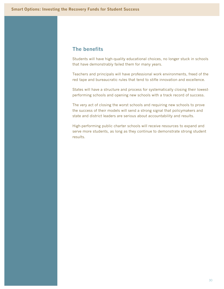# **The benefits**

Students will have high-quality educational choices, no longer stuck in schools that have demonstrably failed them for many years.

Teachers and principals will have professional work environments, freed of the red tape and bureaucratic rules that tend to stifle innovation and excellence.

States will have a structure and process for systematically closing their lowestperforming schools and opening new schools with a track record of success.

The very act of closing the worst schools and requiring new schools to prove the success of their models will send a strong signal that policymakers and state and district leaders are serious about accountability and results.

High-performing public charter schools will receive resources to expand and serve more students, as long as they continue to demonstrate strong student results.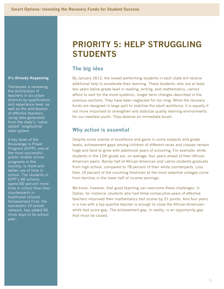Tennessee is reviewing the distribution of teachers in six urban districts by qualification and experience level, as well as the distribution of effective teachers, using data generated from the state's "value added" longitudinal data system.

A key tenet of the Knowledge Is Power Program (KIPP), one of the most successful public middle school programs in the country, is more and better use of time in school. The students in KIPP's 66 schools spend 60 percent more time in school than their counterparts in traditional schools. Achievement First, the successful 15-school network, has added 50 more days to its school year.

# **PRIORITY 5: HELP STRUGGLING STUDENTS**

# **The big idea**

By January 2012, the lowest-performing students in each state will receive additional help to accelerate their learning. These students, who are at least two years below grade level in reading, writing, and mathematics, cannot afford to wait for the more systemic, longer-term changes described in the previous sections. They have been neglected for too long. While the recovery funds are designed in large part to stabilize the adult workforce, it is equally if not more important to strengthen and stabilize quality learning environments for our neediest youth. They deserve an immediate boost.

# **Why action is essential**

Despite some islands of excellence and gains in some subjects and grade levels, achievement gaps among children of different races and classes remain huge and tend to grow with additional years of schooling. For example, white students in the 12th grade are, on average, four years ahead of their African-American peers. Barely half of African-American and Latino students graduate from high school, compared to 78 percent of their white counterparts. Less than 10 percent of the incoming freshmen at the most selective colleges come from families in the lower half of income earnings.

We know, however, that good teaching can overcome these challenges. In Dallas, for instance, students who had three consecutive years of effective teachers improved their mathematics test scores by 21 points. And four years in a row with a top-quartile teacher is enough to close the African-American– white test score gap. The achievement gap, in reality, is an opportunity gap that must be closed.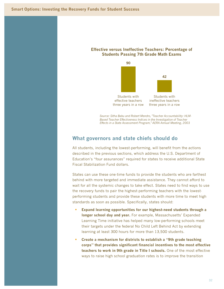## **Effective versus Ineffective Teachers: Percentage of Students Passing 7th Grade Math Exams**



*Source: Sitha Babu and Robert Mendro, "Teacher Accountability: HLM-Based Teacher Effectiveness Indices in the Investigation of Teacher Effects in a State Assessment Program," AERA Annual Meeting, 2003* 

## **What governors and state chiefs should do**

All students, including the lowest-performing, will benefit from the actions described in the previous sections, which address the U.S. Department of Education's "four assurances" required for states to receive additional State Fiscal Stabilization Fund dollars.

States can use these one-time funds to provide the students who are farthest behind with more targeted and immediate assistance. They cannot afford to wait for all the systemic changes to take effect. States need to find ways to use the recovery funds to pair the highest-performing teachers with the lowestperforming students and provide these students with more time to meet high standards as soon as possible. Specifically, states should:

- **Expand learning opportunities for our highest-need students through a longer school day and year.** For example, Massachusetts' Expanded Learning Time initiative has helped many low-performing schools meet their targets under the federal No Child Left Behind Act by extending learning at least 300 hours for more than 13,500 students.
- **Create a mechanism for districts to establish a "9th grade teaching corps" that provides significant financial incentives to the most effective teachers to work in 9th grade in Title I schools.** One of the most effective ways to raise high school graduation rates is to improve the transition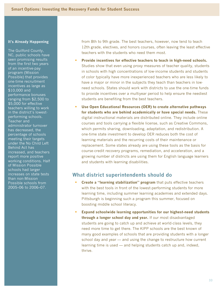The Guilford County, NC, public schools have seen promising results from the first two years of an incentive-pay program (Mission Possible) that provides one-time recruitment incentives as large as \$10,000 and performance bonuses ranging from \$2,500 to \$5,000 for effective teachers willing to work in the district's lowestperforming schools. Teacher and administrator turnover has decreased, the percentage of schools meeting their targets under the No Child Left Behind Act has increased, and teachers report more positive working conditions. Half of Mission Possible schools had larger increases on state tests than non-Mission Possible schools from 2005–06 to 2006–07.

from 8th to 9th grade. The best teachers, however, now tend to teach 12th grade, electives, and honors courses, often leaving the least effective teachers with the students who need them most.

- **Provide incentives for effective teachers to teach in high-need schools.** Studies show that even using proxy measures of teacher quality, students in schools with high concentrations of low-income students and students of color typically have more inexperienced teachers who are less likely to have a major or minor in the subjects they teach than teachers in lowneed schools. States should work with districts to use the one-time funds to provide incentives over a multiyear period to help ensure the neediest students are benefiting from the best teachers.
- **Use Open Educational Resources (OER) to create alternative pathways for students who are behind academically or have special needs.** These digital instructional materials are distributed online. They include online courses and tools carrying a flexible license, such as Creative Commons, which permits sharing, downloading, adaptation, and redistribution. A one-time state investment to develop OER reduces both the cost of learning materials and the recurring costs of their maintenance or replacement. Some states already are using these tools as the basis for course-credit recovery programs, remediation, and acceleration, and a growing number of districts are using them for English language learners and students with learning disabilities.

## **What district superintendents should do**

- **Create a "learning stabilization" program** that puts effective teachers with the best tools in front of the lowest-performing students for more learning time, including summer learning academies and extended days. Pittsburgh is beginning such a program this summer, focused on boosting middle school literacy.
- **Expand schoolwide learning opportunities for our highest-need students through a longer school day and year.** If our most disadvantaged students are going to catch up and achieve at world-class levels, they need more time to get there. The KIPP schools are the best known of many good examples of schools that are providing students with a longer school day and year — and using the change to restructure how current learning time is used — and helping students catch up and, indeed, thrive.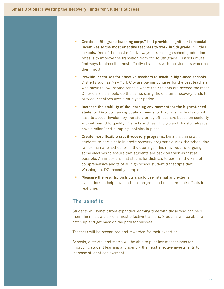- **Create a "9th grade teaching corps" that provides significant financial incentives to the most effective teachers to work in 9th grade in Title I schools.** One of the most effective ways to raise high school graduation rates is to improve the transition from 8th to 9th grade. Districts must find ways to place the most effective teachers with the students who need them most.
- **Provide incentives for effective teachers to teach in high-need schools.** Districts such as New York City are paying bonuses for the best teachers who move to low-income schools where their talents are needed the most. Other districts should do the same, using the one-time recovery funds to provide incentives over a multiyear period.
- **Increase the stability of the learning environment for the highest-need students.** Districts can negotiate agreements that Title I schools do not have to accept involuntary transfers or lay off teachers based on seniority without regard to quality. Districts such as Chicago and Houston already have similar "anti-bumping" policies in place.
- **Create more flexible credit-recovery programs.** Districts can enable students to participate in credit-recovery programs during the school day rather than after school or in the evenings. This may require forgoing some electives to ensure that students are back on track as fast as possible. An important first step is for districts to perform the kind of comprehensive audits of all high school student transcripts that Washington, DC, recently completed.
- **Measure the results.** Districts should use internal and external evaluations to help develop these projects and measure their effects in real time.

# **The benefits**

Students will benefit from expanded learning time with those who can help them the most: a district's most effective teachers. Students will be able to catch up and get back on the path for success.

Teachers will be recognized and rewarded for their expertise.

Schools, districts, and states will be able to pilot key mechanisms for improving student learning and identify the most effective investments to increase student achievement.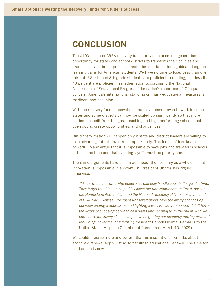# **CONCLUSION**

The \$100 billion of ARRA recovery funds provide a once-in-a-generation opportunity for states and school districts to transform their policies and practices — and in the process, create the foundation for significant long-term learning gains for American students. We have no time to lose. Less than onethird of U.S. 4th and 8th grade students are proficient in reading, and less than 40 percent are proficient in mathematics, according to the National Assessment of Educational Progress, "the nation's report card." Of equal concern, America's international standing on many educational measures is mediocre and declining.

With the recovery funds, innovations that have been proven to work in some states and some districts can now be scaled up significantly so that more students benefit from the great teaching and high-performing schools that open doors, create opportunities, and change lives.

But transformation will happen only if state and district leaders are willing to take advantage of this investment opportunity. The forces of inertia are powerful. Many argue that it is impossible to save jobs and transform schools at the same time and that avoiding layoffs must be priority one.

The same arguments have been made about the economy as a whole — that innovation is impossible in a downturn. President Obama has argued otherwise:

*"I know there are some who believe we can only handle one challenge at a time. They forget that Lincoln helped lay down the transcontinental railroad, passed the Homestead Act, and created the National Academy of Sciences in the midst of Civil War. Likewise, President Roosevelt didn't have the luxury of choosing between ending a depression and fighting a war. President Kennedy didn't have the luxury of choosing between civil rights and sending us to the moon. And we don't have the luxury of choosing between getting our economy moving now and rebuilding it over the long term."* (President Barack Obama, Remarks to the United States Hispanic Chamber of Commerce, March 10, 2009)

We couldn't agree more and believe that his inspirational remarks about economic renewal apply just as forcefully to educational renewal. The time for bold action is now.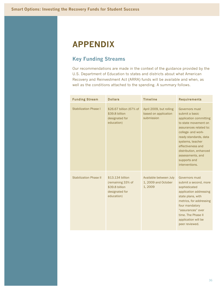# **APPENDIX**

# **Key Funding Streams**

Our recommendations are made in the context of the guidance provided by the U.S. Department of Education to states and districts about what American Recovery and Reinvestment Act (ARRA) funds will be available and when, as well as the conditions attached to the spending. A summary follows.

| <b>Funding Stream</b>         | <b>Dollars</b>                                                                          | <b>Timeline</b>                                               | <b>Requirements</b>                                                                                                                                                                                                                                                                  |
|-------------------------------|-----------------------------------------------------------------------------------------|---------------------------------------------------------------|--------------------------------------------------------------------------------------------------------------------------------------------------------------------------------------------------------------------------------------------------------------------------------------|
| <b>Stabilization Phase I</b>  | \$26.67 billion (67% of<br>\$39.8 billion<br>designated for<br>education)               | April 2009, but rolling<br>based on application<br>submission | Governors must<br>submit a basic<br>application committing<br>to state movement on<br>assurances related to:<br>college- and work-<br>ready standards, data<br>systems, teacher<br>effectiveness and<br>distribution, enhanced<br>assessments, and<br>supports and<br>interventions. |
| <b>Stabilization Phase II</b> | \$13.134 billion<br>(remaining 33% of<br>\$39.8 billion<br>designated for<br>education) | Available between July<br>1, 2009 and October<br>1,2009       | Governors must<br>submit a second, more<br>sophisticated<br>application addressing<br>state plans, with<br>metrics, for addressing<br>four mandatory<br>"assurances" over<br>time. The Phase II<br>application will be<br>peer reviewed.                                             |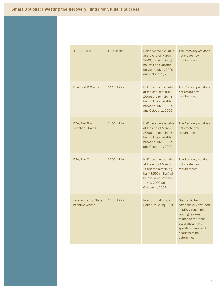| Title 1, Part A                                  | \$10 billion   | Half became available<br>at the end of March<br>2009; the remaining<br>half will be available<br>between July 1, 2009<br>and October 1, 2009                     | The Recovery Act does<br>not create new<br>requirements.                                                                                                                                 |
|--------------------------------------------------|----------------|------------------------------------------------------------------------------------------------------------------------------------------------------------------|------------------------------------------------------------------------------------------------------------------------------------------------------------------------------------------|
| <b>IDEA, Part B Grants</b>                       | \$11.3 billion | Half became available<br>at the end of March<br>2009; the remaining<br>half will be available<br>between July 1, 2009<br>and October 1, 2009                     | The Recovery Act does<br>not create new<br>requirements.                                                                                                                                 |
| IDEA, Part $B -$<br><b>Preschool Grants</b>      | \$400 million  | Half became available<br>at the end of March<br>2009; the remaining<br>half will be available<br>between July 1, 2009<br>and October 1, 2009                     | The Recovery Act does<br>not create new<br>requirements.                                                                                                                                 |
| <b>IDEA, Part C</b>                              | \$500 million  | Half became available<br>at the end of March<br>2009; the remaining<br>half (\$250 million) will<br>be available between<br>July 1, 2009 and<br>October 1, 2009. | The Recovery Act does<br>not create new<br>requirements.                                                                                                                                 |
| Race to the Top State<br><b>Incentive Grants</b> | \$4.35 billion | Round 1: Fall 2009;<br>Round 2: Spring 2010                                                                                                                      | Grants will be<br>competitively awarded<br>to SEAs, based on<br>leading reforms<br>related to the "four<br>assurances," with<br>specific criteria and<br>priorities to be<br>determined. |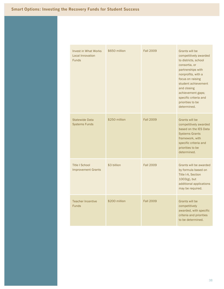| <b>Invest in What Works</b><br><b>Local Innovation</b><br><b>Funds</b> | \$650 million | <b>Fall 2009</b> | Grants will be<br>competitively awarded<br>to districts, school<br>consortia, or<br>partnerships with<br>nonprofits, with a<br>focus on raising<br>student achievement<br>and closing<br>achievement gaps;<br>specific criteria and |
|------------------------------------------------------------------------|---------------|------------------|-------------------------------------------------------------------------------------------------------------------------------------------------------------------------------------------------------------------------------------|
| <b>Statewide Data</b><br><b>Systems Funds</b>                          | \$250 million | <b>Fall 2009</b> | priorities to be<br>determined.<br>Grants will be<br>competitively awarded<br>based on the IES Data<br><b>Systems Grants</b><br>framework, with<br>specific criteria and                                                            |
|                                                                        |               |                  | priorities to be<br>determined.                                                                                                                                                                                                     |
| <b>Title I School</b><br><b>Improvement Grants</b>                     | \$3 billion   | <b>Fall 2009</b> | Grants will be awarded<br>by formula based on<br>Title I-A, Section<br>$1003(g)$ , but<br>additional applications<br>may be required.                                                                                               |
| <b>Teacher Incentive</b><br><b>Funds</b>                               | \$200 million | <b>Fall 2009</b> | Grants will be<br>competitively<br>awarded, with specific<br>criteria and priorities<br>to be determined.                                                                                                                           |